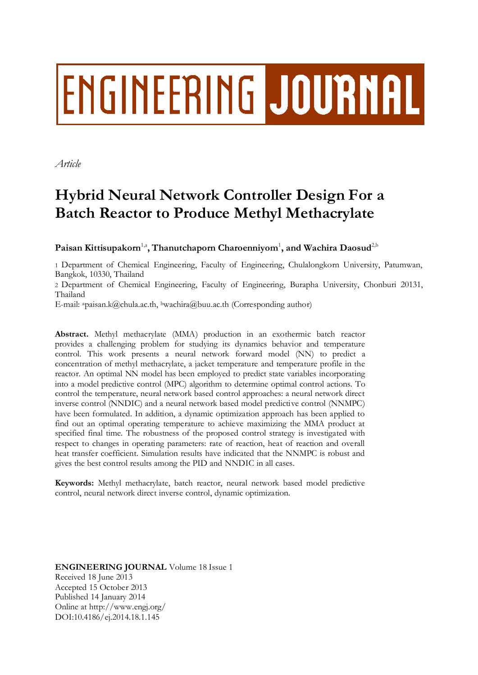# ENGINEERING JOURNAL

*Article*

# **Hybrid Neural Network Controller Design For a Batch Reactor to Produce Methyl Methacrylate**

 $\mathbf{P}$ aisan Kittisupakorn<sup>1,a</sup>, Thanutchaporn Charoenniyom<sup>1</sup>, and Wachira Daosud<sup>2,b</sup>

1 Department of Chemical Engineering, Faculty of Engineering, Chulalongkorn University, Patumwan, Bangkok, 10330, Thailand

2 Department of Chemical Engineering, Faculty of Engineering, Burapha University, Chonburi 20131, Thailand

E-mail: apaisan.k@chula.ac.th, <sup>b</sup>wachira@buu.ac.th (Corresponding author)

**Abstract.** Methyl methacrylate (MMA) production in an exothermic batch reactor provides a challenging problem for studying its dynamics behavior and temperature control. This work presents a neural network forward model (NN) to predict a concentration of methyl methacrylate, a jacket temperature and temperature profile in the reactor. An optimal NN model has been employed to predict state variables incorporating into a model predictive control (MPC) algorithm to determine optimal control actions. To control the temperature, neural network based control approaches: a neural network direct inverse control (NNDIC) and a neural network based model predictive control (NNMPC) have been formulated. In addition, a dynamic optimization approach has been applied to find out an optimal operating temperature to achieve maximizing the MMA product at specified final time. The robustness of the proposed control strategy is investigated with respect to changes in operating parameters: rate of reaction, heat of reaction and overall heat transfer coefficient. Simulation results have indicated that the NNMPC is robust and gives the best control results among the PID and NNDIC in all cases.

**Keywords:** Methyl methacrylate, batch reactor, neural network based model predictive control, neural network direct inverse control, dynamic optimization.

**ENGINEERING JOURNAL** Volume 18 Issue 1 Received 18 June 2013 Accepted 15 October 2013 Published 14 January 2014 Online at http://www.engj.org/ DOI:10.4186/ej.2014.18.1.145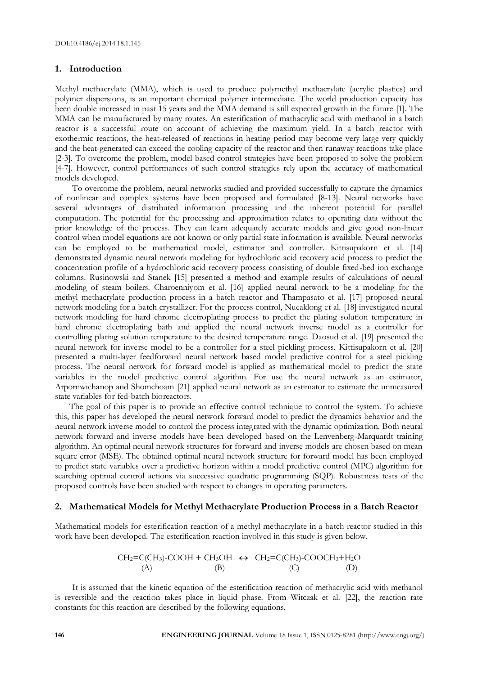# **1. Introduction**

Methyl methacrylate (MMA), which is used to produce polymethyl methacrylate (acrylic plastics) and polymer dispersions, is an important chemical polymer intermediate. The world production capacity has been double increased in past 15 years and the MMA demand is still expected growth in the future [1]. The MMA can be manufactured by many routes. An esterification of mathacrylic acid with methanol in a batch reactor is a successful route on account of achieving the maximum yield. In a batch reactor with exothermic reactions, the heat-released of reactions in heating period may become very large very quickly and the heat-generated can exceed the cooling capacity of the reactor and then runaway reactions take place [2-3]. To overcome the problem, model based control strategies have been proposed to solve the problem [4-7]. However, control performances of such control strategies rely upon the accuracy of mathematical models developed.

To overcome the problem, neural networks studied and provided successfully to capture the dynamics of nonlinear and complex systems have been proposed and formulated [8-13]. Neural networks have several advantages of distributed information processing and the inherent potential for parallel computation. The potential for the processing and approximation relates to operating data without the prior knowledge of the process. They can learn adequately accurate models and give good non-linear control when model equations are not known or only partial state information is available. Neural networks can be employed to be mathematical model, estimator and controller. Kittisupakorn et al. [14] demonstrated dynamic neural network modeling for hydrochloric acid recovery acid process to predict the concentration profile of a hydrochloric acid recovery process consisting of double fixed-bed ion exchange columns. Rusinowski and Stanek [15] presented a method and example results of calculations of neural modeling of steam boilers. Charoenniyom et al. [16] applied neural network to be a modeling for the methyl methacrylate production process in a batch reactor and Thampasato et al. [17] proposed neural network modeling for a batch crystallizer. For the process control, Nueaklong et al. [18] investigated neural network modeling for hard chrome electroplating process to predict the plating solution temperature in hard chrome electroplating bath and applied the neural network inverse model as a controller for controlling plating solution temperature to the desired temperature range. Daosud et al. [19] presented the neural network for inverse model to be a controller for a steel pickling process. Kittisupakorn et al. [20] presented a multi-layer feedforward neural network based model predictive control for a steel pickling process. The neural network for forward model is applied as mathematical model to predict the state variables in the model predictive control algorithm. For use the neural network as an estimator, Arpornwichanop and Shomchoam [21] applied neural network as an estimator to estimate the unmeasured state variables for fed-batch bioreactors.

The goal of this paper is to provide an effective control technique to control the system. To achieve this, this paper has developed the neural network forward model to predict the dynamics behavior and the neural network inverse model to control the process integrated with the dynamic optimization. Both neural network forward and inverse models have been developed based on the Lenvenberg-Marquardt training algorithm. An optimal neural network structures for forward and inverse models are chosen based on mean square error (MSE). The obtained optimal neural network structure for forward model has been employed to predict state variables over a predictive horizon within a model predictive control (MPC) algorithm for searching optimal control actions via successive quadratic programming (SQP). Robustness tests of the proposed controls have been studied with respect to changes in operating parameters.

# **2. Mathematical Models for Methyl Methacrylate Production Process in a Batch Reactor**

Mathematical models for esterification reaction of a methyl methacrylate in a batch reactor studied in this work have been developed. The esterification reaction involved in this study is given below.

$$
CH2=C(CH3)-COOH + CH3OH \leftrightarrow CH2=C(CH3)-COOCH3+H2O
$$
\n(A) (B) (C) (D)

It is assumed that the kinetic equation of the esterification reaction of methacrylic acid with methanol is reversible and the reaction takes place in liquid phase. From Witczak et al. [22], the reaction rate constants for this reaction are described by the following equations.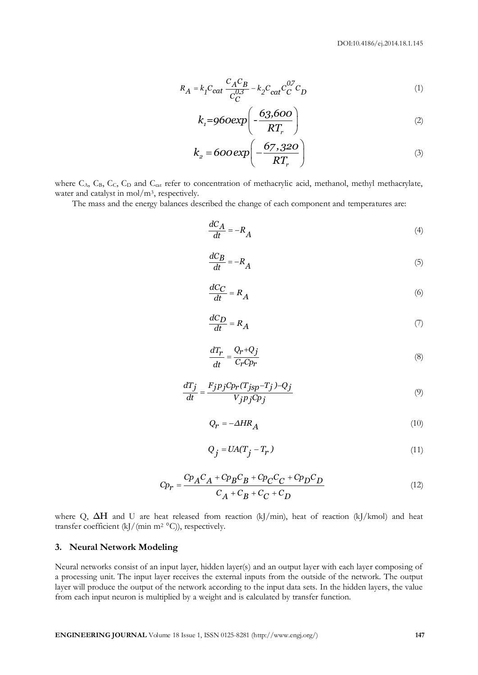$$
R_A = k_I C_{cat} \frac{C_A C_B}{C_C^{0.3}} - k_2 C_{cat} C_C^{0.7} C_D
$$
 (1)

$$
k_{1} = 960 \exp\left(-\frac{63,600}{RT_{r}}\right)
$$
 (2)

$$
k_2 = 600 \exp\left(-\frac{67,320}{RT_r}\right) \tag{3}
$$

where C<sub>A</sub>, C<sub>B</sub>, C<sub>C</sub>, C<sub>D</sub> and C<sub>cat</sub> refer to concentration of methacrylic acid, methanol, methyl methacrylate, water and catalyst in mol/m<sup>3</sup>, respectively.

The mass and the energy balances described the change of each component and temperatures are:

$$
\frac{dC_A}{dt} = -R_A \tag{4}
$$

$$
\frac{dC_B}{dt} = -R_A \tag{5}
$$

$$
\frac{dC_C}{dt} = R_A \tag{6}
$$

$$
\frac{dC_D}{dt} = R_A \tag{7}
$$

$$
\frac{dT_r}{dt} = \frac{Q_r + Q_j}{C_r C p_r} \tag{8}
$$

$$
\frac{dT_j}{dt} = \frac{F_j p_j C p_r (T_{jsp} - T_j) - Q_j}{V_j p_j C p_j} \tag{9}
$$

$$
Q_r = -\Delta H R_A \tag{10}
$$

$$
Q_j = UA(T_j - T_r) \tag{11}
$$

$$
C p_r = \frac{C p_A C_A + C p_B C_B + C p_C C_C + C p_D C_D}{C_A + C_B + C_C + C_D}
$$
\n(12)

where Q, ΔH and U are heat released from reaction (kJ/min), heat of reaction (kJ/kmol) and heat transfer coefficient (kJ/(min m<sup>2</sup> °C)), respectively.

# **3. Neural Network Modeling**

**E**<sub>RI</sub> = **E**<sub>P</sub><sub>CM</sub> **C**<sub>F</sub><sup>2</sup>  $\frac{C_1 C_1}{C_1}$  **EP**<sub>2</sub> **C**<sub>*D*</sub> **1 1**<br> **E**<sub>RI</sub> **C** *C<sub>C</sub> (i.g. (i.g. (i.g. (i.g. (i.g. (i.g. 1)<br> E<sub>RI</sub> C <i>C* (i.g. (i.g. (i.g. 1) **14 C**<sub>*C*</sub> (i.g. 1) **14 C**<br> **E**RING C<sub>2</sub> Neural networks consist of an input layer, hidden layer(s) and an output layer with each layer composing of a processing unit. The input layer receives the external inputs from the outside of the network. The output layer will produce the output of the network according to the input data sets. In the hidden layers, the value from each input neuron is multiplied by a weight and is calculated by transfer function.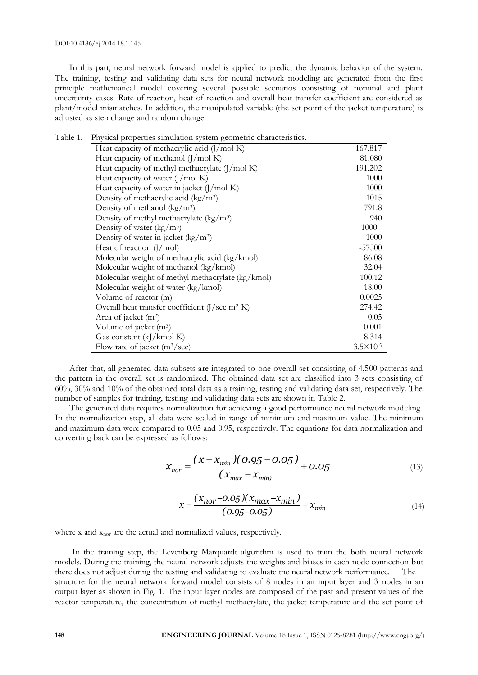DOI:10.4186/ej.2014.18.1.145

In this part, neural network forward model is applied to predict the dynamic behavior of the system. The training, testing and validating data sets for neural network modeling are generated from the first principle mathematical model covering several possible scenarios consisting of nominal and plant uncertainty cases. Rate of reaction, heat of reaction and overall heat transfer coefficient are considered as plant/model mismatches. In addition, the manipulated variable (the set point of the jacket temperature) is adjusted as step change and random change.

| Table 1. | Physical properties simulation system geometric characteristics. |                      |
|----------|------------------------------------------------------------------|----------------------|
|          | Heat capacity of methacrylic acid $(J/mol K)$                    | 167.817              |
|          | Heat capacity of methanol $(J/mol K)$                            | 81.080               |
|          | Heat capacity of methyl methacrylate $(J/mol K)$                 | 191.202              |
|          | Heat capacity of water $(J/mol K)$                               | 1000                 |
|          | Heat capacity of water in jacket $(J/mol K)$                     | 1000                 |
|          | Density of methacrylic acid ( $\text{kg}/\text{m}^3$ )           | 1015                 |
|          | Density of methanol $(kg/m3)$                                    | 791.8                |
|          | Density of methyl methacrylate $(kg/m^3)$                        | 940                  |
|          | Density of water $(kg/m3)$                                       | 1000                 |
|          | Density of water in jacket $(kg/m3)$                             | 1000                 |
|          | Heat of reaction $(J/mol)$                                       | $-57500$             |
|          | Molecular weight of methacrylic acid (kg/kmol)                   | 86.08                |
|          | Molecular weight of methanol (kg/kmol)                           | 32.04                |
|          | Molecular weight of methyl methacrylate (kg/kmol)                | 100.12               |
|          | Molecular weight of water (kg/kmol)                              | 18.00                |
|          | Volume of reactor (m)                                            | 0.0025               |
|          | Overall heat transfer coefficient $(J/\text{sec} m^2 K)$         | 274.42               |
|          | Area of jacket (m <sup>2</sup> )                                 | 0.05                 |
|          | Volume of jacket (m <sup>3</sup> )                               | 0.001                |
|          | Gas constant (kJ/kmol K)                                         | 8.314                |
|          | Flow rate of jacket $(m^3/sec)$                                  | $3.5 \times 10^{-5}$ |

After that, all generated data subsets are integrated to one overall set consisting of 4,500 patterns and the pattern in the overall set is randomized. The obtained data set are classified into 3 sets consisting of 60%, 30% and 10% of the obtained total data as a training, testing and validating data set, respectively. The number of samples for training, testing and validating data sets are shown in Table 2.

The generated data requires normalization for achieving a good performance neural network modeling. In the normalization step, all data were scaled in range of minimum and maximum value. The minimum and maximum data were compared to 0.05 and 0.95, respectively. The equations for data normalization and converting back can be expressed as follows:

$$
x_{nor} = \frac{(x - x_{min})(0.95 - 0.05)}{(x_{max} - x_{min})} + 0.05
$$
(13)

$$
x = \frac{(x_{\text{nor}} - 0.05)(x_{\text{max}} - x_{\text{min}})}{(0.95 - 0.05)} + x_{\text{min}}
$$
(14)

where x and  $x_{\text{nor}}$  are the actual and normalized values, respectively.

In the training step, the Levenberg Marquardt algorithm is used to train the both neural network models. During the training, the neural network adjusts the weights and biases in each node connection but there does not adjust during the testing and validating to evaluate the neural network performance. The structure for the neural network forward model consists of 8 nodes in an input layer and 3 nodes in an output layer as shown in Fig. 1. The input layer nodes are composed of the past and present values of the reactor temperature, the concentration of methyl methacrylate, the jacket temperature and the set point of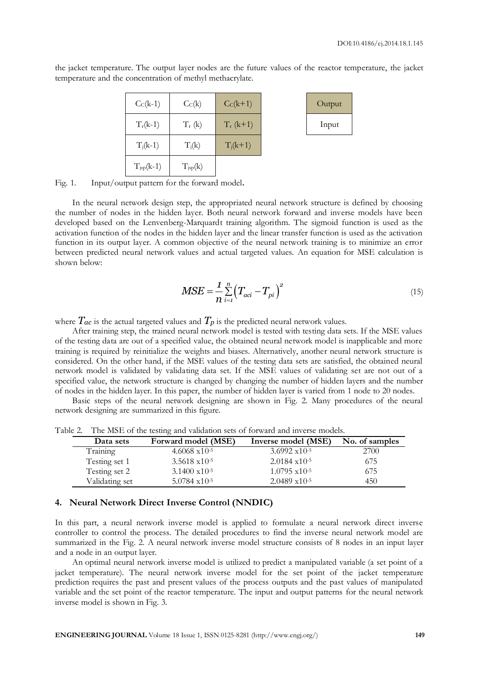Output

| $CC(k-1)$      | $C_C(k)$            | $CC(k+1)$   | Outpu |
|----------------|---------------------|-------------|-------|
| $T_r(k-1)$     | $T_r$ (k)           | $T_r$ (k+1) | Input |
| $T_i(k-1)$     | $T_i(k)$            | $T_i(k+1)$  |       |
| $T_{jsp}(k-1)$ | $T_{\text{isp}}(k)$ |             |       |

the jacket temperature. The output layer nodes are the future values of the reactor temperature, the jacket temperature and the concentration of methyl methacrylate.

Fig. 1. Input/output pattern for the forward model**.**

In the neural network design step, the appropriated neural network structure is defined by choosing the number of nodes in the hidden layer. Both neural network forward and inverse models have been developed based on the Lenvenberg-Marquardt training algorithm. The sigmoid function is used as the activation function of the nodes in the hidden layer and the linear transfer function is used as the activation function in its output layer. A common objective of the neural network training is to minimize an error between predicted neural network values and actual targeted values. An equation for MSE calculation is shown below:

$$
MSE = \frac{1}{n} \sum_{i=1}^{n} (T_{aci} - T_{pi})^2
$$
 (15)

where  $T_{ac}$  is the actual targeted values and  $T_p$  is the predicted neural network values.

After training step, the trained neural network model is tested with testing data sets. If the MSE values of the testing data are out of a specified value, the obtained neural network model is inapplicable and more training is required by reinitialize the weights and biases. Alternatively, another neural network structure is considered. On the other hand, if the MSE values of the testing data sets are satisfied, the obtained neural network model is validated by validating data set. If the MSE values of validating set are not out of a specified value, the network structure is changed by changing the number of hidden layers and the number of nodes in the hidden layer. In this paper, the number of hidden layer is varied from 1 node to 20 nodes.

Basic steps of the neural network designing are shown in Fig. 2. Many procedures of the neural network designing are summarized in this figure.

| Data sets      | Forward model (MSE)     | Inverse model (MSE)       | No. of samples |
|----------------|-------------------------|---------------------------|----------------|
| Training       | $4.6068 \times 10^{-5}$ | $3.6992 \times 10^{-5}$   | 2700           |
| Testing set 1  | $3.5618 \times 10^{-5}$ | $2.0184 \text{ x}10^{-5}$ | 675            |
| Testing set 2  | $3.1400 \times 10^{-5}$ | $1.0795 \times 10^{-5}$   | 675            |
| Validating set | $5.0784 \times 10^{-5}$ | $2.0489 \times 10^{-5}$   | 450            |

Table 2. The MSE of the testing and validation sets of forward and inverse models.

#### **4. Neural Network Direct Inverse Control (NNDIC)**

In this part, a neural network inverse model is applied to formulate a neural network direct inverse controller to control the process. The detailed procedures to find the inverse neural network model are summarized in the Fig. 2. A neural network inverse model structure consists of 8 nodes in an input layer and a node in an output layer.

An optimal neural network inverse model is utilized to predict a manipulated variable (a set point of a jacket temperature). The neural network inverse model for the set point of the jacket temperature prediction requires the past and present values of the process outputs and the past values of manipulated variable and the set point of the reactor temperature. The input and output patterns for the neural network inverse model is shown in Fig. 3.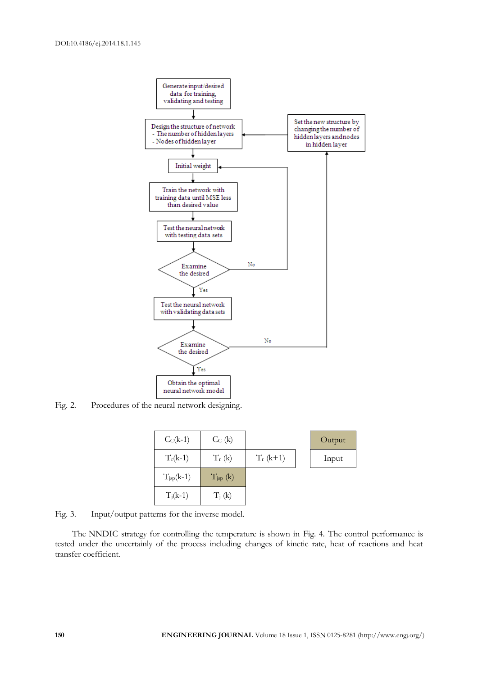

Fig. 2. Procedures of the neural network designing.

| $CC(k-1)$             | $C_{C}$ (k)                             |             | Output |
|-----------------------|-----------------------------------------|-------------|--------|
| $T_r(k-1)$            | $T_r$ (k)                               | $T_r$ (k+1) | Input  |
| $T_{\text{isp}}(k-1)$ | $T_{\text{isp}}\left(\mathbf{k}\right)$ |             |        |
| $T_i(k-1)$            | $T_i$ (k)                               |             |        |

Fig. 3. Input/output patterns for the inverse model.

The NNDIC strategy for controlling the temperature is shown in Fig. 4. The control performance is tested under the uncertainly of the process including changes of kinetic rate, heat of reactions and heat transfer coefficient.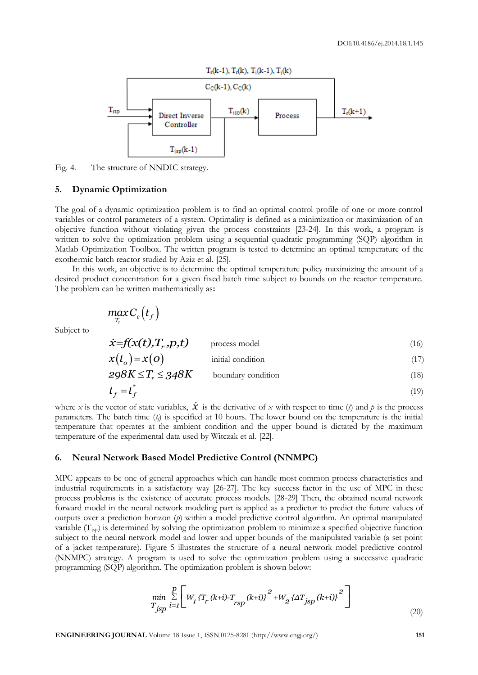

Fig. 4. The structure of NNDIC strategy.

#### **5. Dynamic Optimization**

The goal of a dynamic optimization problem is to find an optimal control profile of one or more control variables or control parameters of a system. Optimality is defined as a minimization or maximization of an objective function without violating given the process constraints [23-24]. In this work, a program is written to solve the optimization problem using a sequential quadratic programming (SQP) algorithm in Matlab Optimization Toolbox. The written program is tested to determine an optimal temperature of the exothermic batch reactor studied by Aziz et al. [25].

In this work, an objective is to determine the optimal temperature policy maximizing the amount of a desired product concentration for a given fixed batch time subject to bounds on the reactor temperature. The problem can be written mathematically as**:**

$$
\max_{T_r} C_c\big(t_f\big)
$$

Subject to

$$
\dot{x} = f(x(t), T_r, p, t) \qquad \text{process model} \tag{16}
$$

$$
x(to) = x(o)
$$
 initial condition (17)  
298K  $\leq T_r \leq 348K$  boundary condition (18)

$$
298K \le T_r \le 348K \qquad \text{boundary condition} \tag{18}
$$
  

$$
t_f = t_f^* \tag{19}
$$

where *x* is the vector of state variables,  $\dot{x}$  is the derivative of *x* with respect to time (*t*) and *p* is the process parameters. The batch time  $(t<sub>i</sub>)$  is specified at 10 hours. The lower bound on the temperature is the initial temperature that operates at the ambient condition and the upper bound is dictated by the maximum temperature of the experimental data used by Witczak et al. [22].

#### **6. Neural Network Based Model Predictive Control (NNMPC)**

MPC appears to be one of general approaches which can handle most common process characteristics and industrial requirements in a satisfactory way [26-27]. The key success factor in the use of MPC in these process problems is the existence of accurate process models. [28-29] Then, the obtained neural network forward model in the neural network modeling part is applied as a predictor to predict the future values of outputs over a prediction horizon (*p*) within a model predictive control algorithm. An optimal manipulated variable  $(T_{\text{isp}})$  is determined by solving the optimization problem to minimize a specified objective function subject to the neural network model and lower and upper bounds of the manipulated variable (a set point of a jacket temperature). Figure 5 illustrates the structure of a neural network model predictive control (NNMPC) strategy. A program is used to solve the optimization problem using a successive quadratic programming (SQP) algorithm. The optimization problem is shown below:

min. The optimization problem is shown below:  
\n
$$
\min_{T_{jsp}} \sum_{i=1}^{p} \left[ W_1 \{T_r (k+i) - T_{rsp} (k+i) \}^2 + W_2 \{ \Delta T_{jsp} (k+i) \}^2 \right]
$$
\n(20)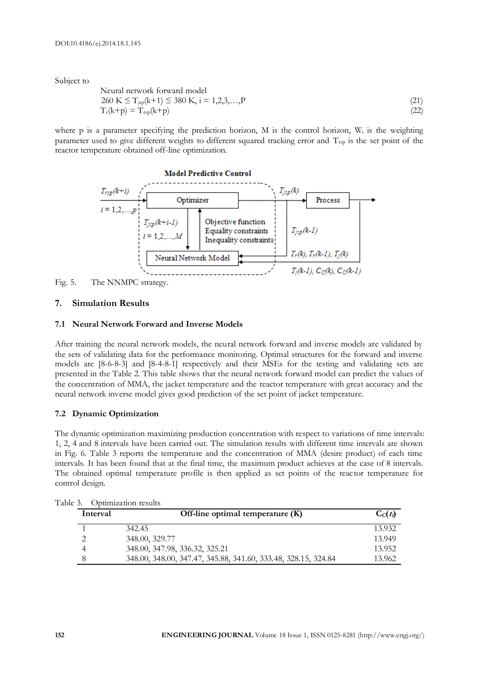Subject to

Neural network forward model

\n
$$
260 \, \text{K} \leq T_{\text{sp}}(k+1) \leq 380 \, \text{K}, \, i = 1, 2, 3, \ldots, P
$$
\n
$$
T_{\text{r}}(k+p) = T_{\text{rsp}}(k+p) \tag{21}
$$

where p is a parameter specifying the prediction horizon, M is the control horizon,  $W_i$  is the weighting parameter used to give different weights to different squared tracking error and  $T_{\text{rsp}}$  is the set point of the reactor temperature obtained off-line optimization.



Fig. 5. The NNMPC strategy.

#### **7. Simulation Results**

#### **7.1 Neural Network Forward and Inverse Models**

After training the neural network models, the neural network forward and inverse models are validated by the sets of validating data for the performance monitoring. Optimal structures for the forward and inverse models are [8-6-8-3] and [8-4-8-1] respectively and their MSEs for the testing and validating sets are presented in the Table 2. This table shows that the neural network forward model can predict the values of the concentration of MMA, the jacket temperature and the reactor temperature with great accuracy and the neural network inverse model gives good prediction of the set point of jacket temperature.

#### **7.2 Dynamic Optimization**

The dynamic optimization maximizing production concentration with respect to variations of time intervals: 1, 2, 4 and 8 intervals have been carried out. The simulation results with different time intervals are shown in Fig. 6. Table 3 reports the temperature and the concentration of MMA (desire product) of each time intervals. It has been found that at the final time, the maximum product achieves at the case of 8 intervals. The obtained optimal temperature profile is then applied as set points of the reactor temperature for control design.

| Interval | Off-line optimal temperature $(K)$                             | $C_{C}(t)$ |
|----------|----------------------------------------------------------------|------------|
|          | 342.45                                                         | 13.932     |
|          | 348.00, 329.77                                                 | 13.949     |
|          | 348.00, 347.98, 336.32, 325.21                                 | 13.952     |
|          | 348.00, 348.00, 347.47, 345.88, 341.60, 333.48, 328.15, 324.84 | 13.962     |

Table 3. Optimization results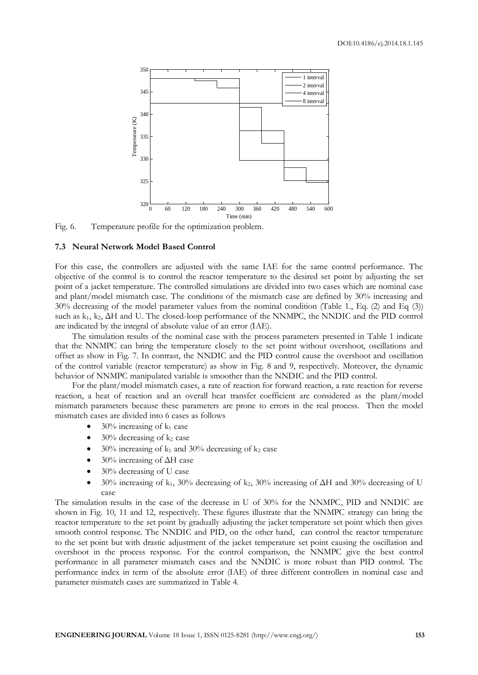

Fig. 6. Temperature profile for the optimization problem.

#### **7.3 Neural Network Model Based Control**

For this case, the controllers are adjusted with the same IAE for the same control performance. The objective of the control is to control the reactor temperature to the desired set point by adjusting the set point of a jacket temperature. The controlled simulations are divided into two cases which are nominal case and plant/model mismatch case. The conditions of the mismatch case are defined by 30% increasing and 30% decreasing of the model parameter values from the nominal condition (Table 1., Eq. (2) and Eq (3)) such as k<sub>1</sub>, k<sub>2</sub>, ΔH and U. The closed-loop performance of the NNMPC, the NNDIC and the PID control are indicated by the integral of absolute value of an error (IAE).

The simulation results of the nominal case with the process parameters presented in Table 1 indicate that the NNMPC can bring the temperature closely to the set point without overshoot, oscillations and offset as show in Fig. 7. In contrast, the NNDIC and the PID control cause the overshoot and oscillation of the control variable (reactor temperature) as show in Fig. 8 and 9, respectively. Moreover, the dynamic behavior of NNMPC manipulated variable is smoother than the NNDIC and the PID control.

For the plant/model mismatch cases, a rate of reaction for forward reaction, a rate reaction for reverse reaction, a heat of reaction and an overall heat transfer coefficient are considered as the plant/model mismatch parameters because these parameters are prone to errors in the real process. Then the model mismatch cases are divided into 6 cases as follows

- $30\%$  increasing of  $k_1$  case
- $30\%$  decreasing of  $k_2$  case
- $30\%$  increasing of k<sub>1</sub> and  $30\%$  decreasing of k<sub>2</sub> case
- 30% increasing of ΔH case
- 30% decreasing of U case
- $30\%$  increasing of k<sub>1</sub>,  $30\%$  decreasing of k<sub>2</sub>,  $30\%$  increasing of  $\Delta H$  and  $30\%$  decreasing of U case

The simulation results in the case of the decrease in U of 30% for the NNMPC, PID and NNDIC are shown in Fig. 10, 11 and 12, respectively. These figures illustrate that the NNMPC strategy can bring the reactor temperature to the set point by gradually adjusting the jacket temperature set point which then gives smooth control response. The NNDIC and PID, on the other hand, can control the reactor temperature to the set point but with drastic adjustment of the jacket temperature set point causing the oscillation and overshoot in the process response. For the control comparison, the NNMPC give the best control performance in all parameter mismatch cases and the NNDIC is more robust than PID control. The performance index in term of the absolute error (IAE) of three different controllers in nominal case and parameter mismatch cases are summarized in Table 4.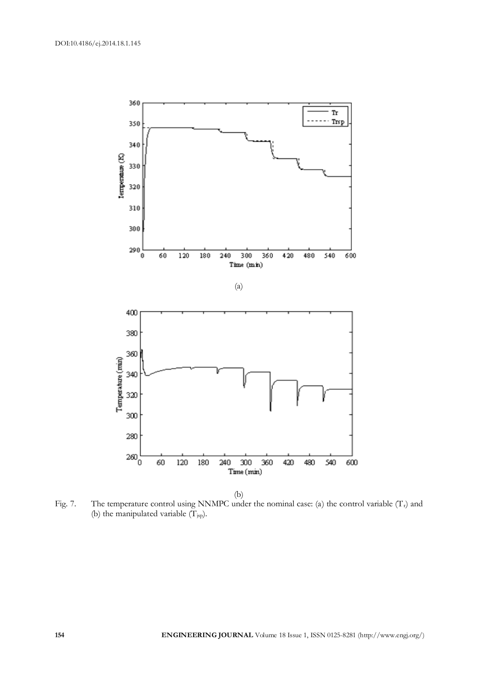

Fig. 7. The temperature control using NNMPC under the nominal case: (a) the control variable  $(T_r)$  and (b) the manipulated variable  $(T_{\text{isp}})$ .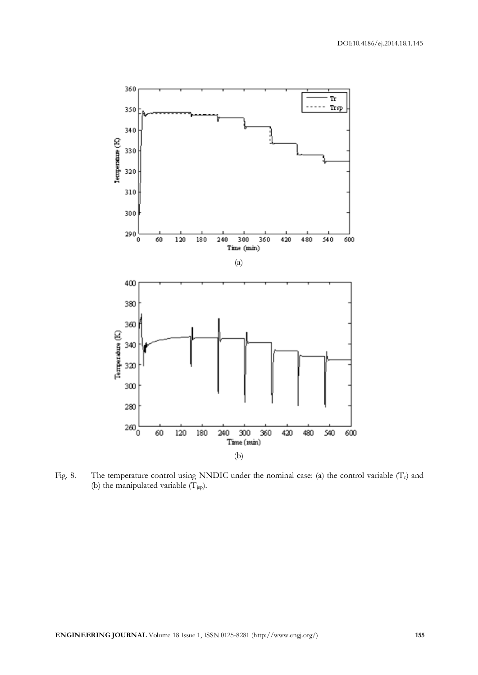

Fig. 8. The temperature control using NNDIC under the nominal case: (a) the control variable  $(T<sub>r</sub>)$  and (b) the manipulated variable  $(\Gamma_{\text{sp}})$ .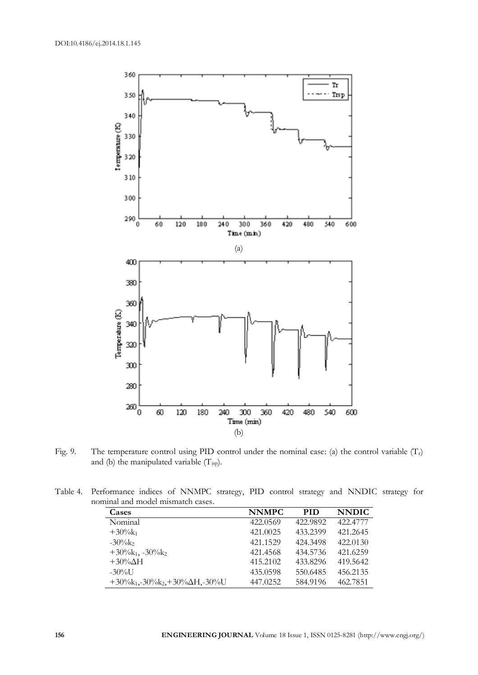

Fig. 9. The temperature control using PID control under the nominal case: (a) the control variable  $(T_r)$ and (b) the manipulated variable  $(T_{\text{isp}})$ .

| Table 4. Performance indices of NNMPC strategy, PID control strategy and NNDIC strategy for |  |  |  |  |  |
|---------------------------------------------------------------------------------------------|--|--|--|--|--|
| nominal and model mismatch cases.                                                           |  |  |  |  |  |

| Cases                                       | <b>NNMPC</b> | <b>PID</b> | <b>NNDIC</b> |
|---------------------------------------------|--------------|------------|--------------|
| Nominal                                     | 422,0569     | 422.9892   | 422.4777     |
| $+30\%k_1$                                  | 421.0025     | 433.2399   | 421.2645     |
| $-30\%$                                     | 421.1529     | 424.3498   | 422,0130     |
| $+30\%k_1, -30\%k_2$                        | 421.4568     | 434.5736   | 421.6259     |
| $+30\% \Delta H$                            | 415.2102     | 433.8296   | 419.5642     |
| $-30\%$ U                                   | 435.0598     | 550.6485   | 456.2135     |
| $+30\%k_1,-30\%k_2,+30\% \Delta H, -30\% U$ | 447.0252     | 584.9196   | 462.7851     |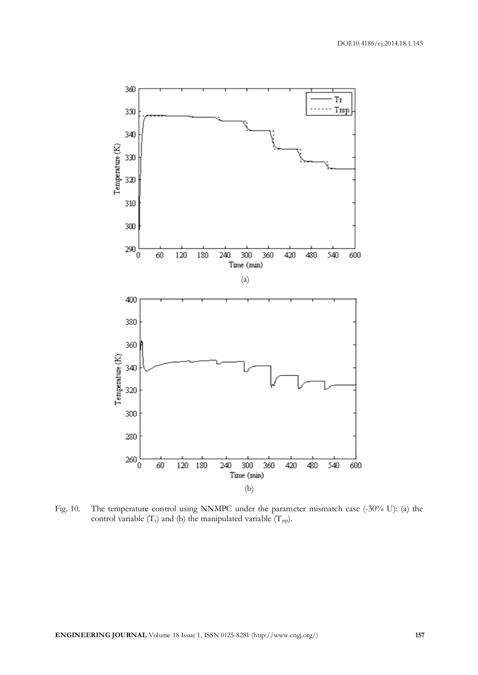

Fig. 10. The temperature control using NNMPC under the parameter mismatch case (-30% U): (a) the control variable  $(T_r)$  and (b) the manipulated variable  $(T_{jsp})$ .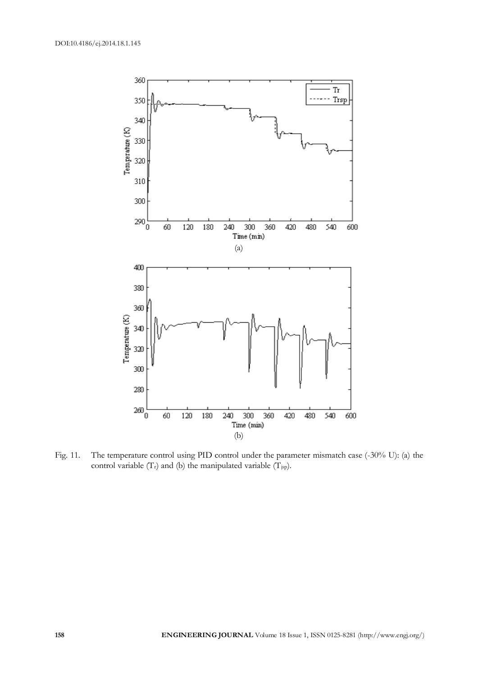

Fig. 11. The temperature control using PID control under the parameter mismatch case (-30% U): (a) the control variable  $(T_r)$  and (b) the manipulated variable  $(T_{jsp})$ .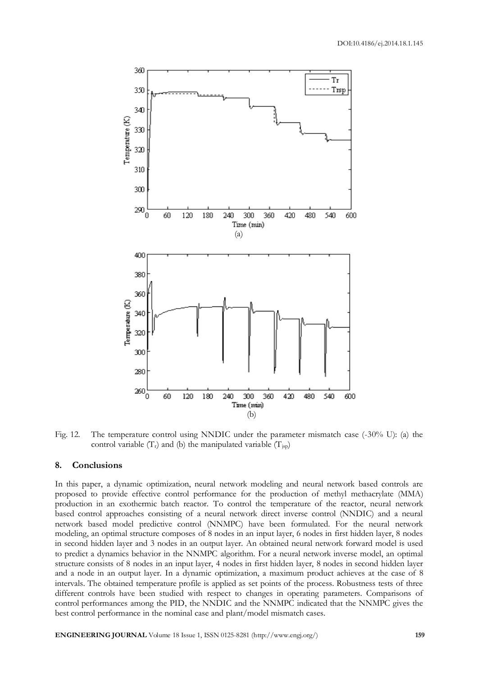

Fig. 12. The temperature control using NNDIC under the parameter mismatch case (-30% U): (a) the control variable  $(T_r)$  and (b) the manipulated variable  $(T_{iso})$ 

#### **8. Conclusions**

In this paper, a dynamic optimization, neural network modeling and neural network based controls are proposed to provide effective control performance for the production of methyl methacrylate (MMA) production in an exothermic batch reactor. To control the temperature of the reactor, neural network based control approaches consisting of a neural network direct inverse control (NNDIC) and a neural network based model predictive control (NNMPC) have been formulated. For the neural network modeling, an optimal structure composes of 8 nodes in an input layer, 6 nodes in first hidden layer, 8 nodes in second hidden layer and 3 nodes in an output layer. An obtained neural network forward model is used to predict a dynamics behavior in the NNMPC algorithm. For a neural network inverse model, an optimal structure consists of 8 nodes in an input layer, 4 nodes in first hidden layer, 8 nodes in second hidden layer and a node in an output layer. In a dynamic optimization, a maximum product achieves at the case of 8 intervals. The obtained temperature profile is applied as set points of the process. Robustness tests of three different controls have been studied with respect to changes in operating parameters. Comparisons of control performances among the PID, the NNDIC and the NNMPC indicated that the NNMPC gives the best control performance in the nominal case and plant/model mismatch cases.

**ENGINEERING JOURNAL** Volume 18 Issue 1, ISSN 0125-8281 (http://www.engj.org/) **159**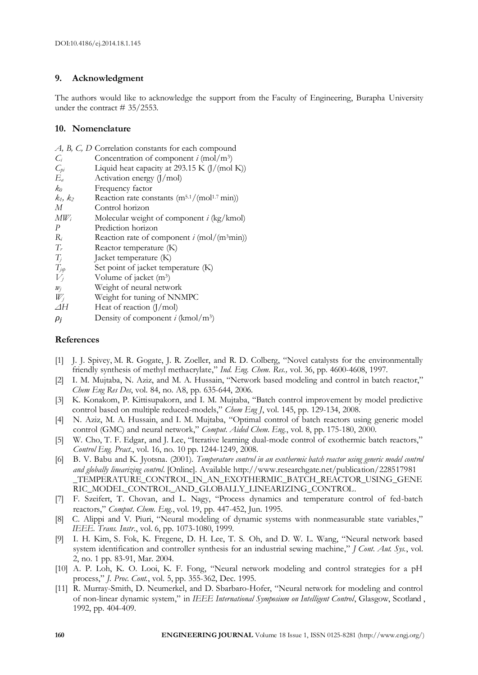# **9. Acknowledgment**

The authors would like to acknowledge the support from the Faculty of Engineering, Burapha University under the contract # 35/2553.

# **10. Nomenclature**

|                 | A, B, C, D Correlation constants for each compound   |
|-----------------|------------------------------------------------------|
| $C_i$           | Concentration of component $i \text{ (mol/m3)}$      |
| $C_{pi}$        | Liquid heat capacity at 293.15 K $(J/(mol K))$       |
| $E_a$           | Activation energy $(J/mol)$                          |
| $k_0$           | Frequency factor                                     |
| $k_1,\,k_2$     | Reaction rate constants $(m^{5.1}/(mol^{1.7}min))$   |
| М               | Control horizon                                      |
| $\textit{MW}_i$ | Molecular weight of component $i$ (kg/kmol)          |
| P               | Prediction horizon                                   |
| $R_i$           | Reaction rate of component $i \text{ (mol/(m3min))}$ |
| $T_r$           | Reactor temperature (K)                              |
| $T_i$           | Jacket temperature (K)                               |
| $T_{jsp}$       | Set point of jacket temperature (K)                  |
| $V_i$           | Volume of jacket $(m^3)$                             |
| $w_i$           | Weight of neural network                             |
| $W_i$           | Weight for tuning of NNMPC                           |
| $\varDelta H$   | Heat of reaction $(J/mol)$                           |
| $\rho_i$        | Density of component i (kmol/m <sup>3</sup> )        |

# **References**

- [1] J. J. Spivey, M. R. Gogate, J. R. Zoeller, and R. D. Colberg, "Novel catalysts for the environmentally friendly synthesis of methyl methacrylate," *Ind. Eng. Chem. Res.,* vol. 36, pp. 4600-4608, 1997.
- [2] I. M. Mujtaba, N. Aziz, and M. A. Hussain, "Network based modeling and control in batch reactor," *Chem Eng Res Des*, vol. 84, no. A8, pp. 635-644, 2006.
- [3] K. Konakom, P. Kittisupakorn, and I. M. Mujtaba, "Batch control improvement by model predictive control based on multiple reduced-models," *Chem Eng J*, vol. 145, pp. 129-134, 2008.
- [4] N. Aziz, M. A. Hussain, and I. M. Mujtaba, "Optimal control of batch reactors using generic model control (GMC) and neural network," *Comput. Aided Chem. Eng.*, vol. 8, pp. 175-180, 2000.
- [5] W. Cho, T. F. Edgar, and J. Lee, "Iterative learning dual-mode control of exothermic batch reactors," *Control Eng. Pract.*, vol. 16, no. 10 pp. 1244-1249, 2008.
- [6] B. V. Babu and K. Jyotsna. (2001). *Temperature control in an exothermic batch reactor using generic model control and globally linearizing control*. [Online]. Available<http://www.researchgate.net/publication/228517981> TEMPERATURE\_CONTROL\_IN\_AN\_EXOTHERMIC\_BATCH\_REACTOR\_USING\_GENE RIC\_MODEL\_CONTROL\_AND\_GLOBALLY\_LINEARIZING\_CONTROL.
- [7] F. Szeifert, T. Chovan, and L. Nagy, "Process dynamics and temperature control of fed-batch reactors," *Comput. Chem. Eng.*, vol. 19, pp. 447-452, Jun. 1995.
- [8] C. Alippi and V. Piuri, "Neural modeling of dynamic systems with nonmeasurable state variables," *IEEE. Trans. Instr*., vol. 6, pp. 1073-1080, 1999.
- [9] I. H. Kim, S. Fok, K. Fregene, D. H. Lee, T. S. Oh, and D. W. L. Wang, "Neural network based system identification and controller synthesis for an industrial sewing machine," *J Cont. Aut. Sys.*, vol. 2, no. 1 pp. 83-91, Mar. 2004.
- [10] A. P. Loh, K. O. Looi, K. F. Fong, "Neural network modeling and control strategies for a pH process," *J. Proc. Cont.*, vol. 5, pp. 355-362, Dec. 1995.
- [11] R. Murray-Smith, D. Neumerkel, and D. Sbarbaro-Hofer, "Neural network for modeling and control of non-linear dynamic system," in *IEEE International Symposium on Intelligent Control*, Glasgow, Scotland , 1992, pp. 404-409.